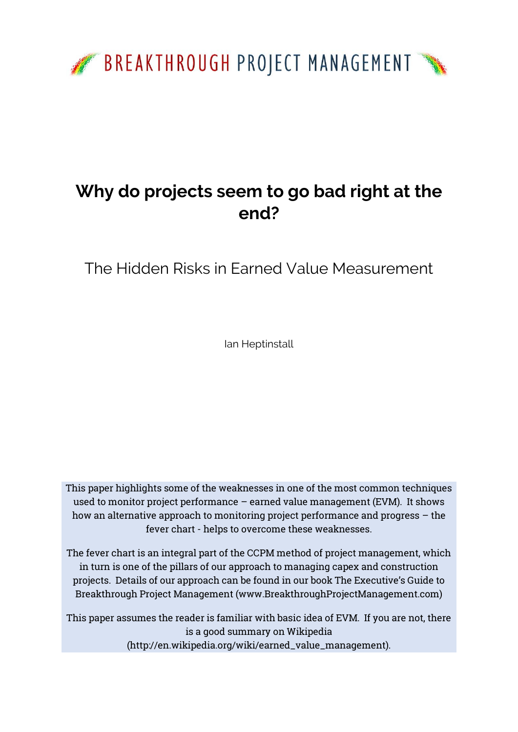

# **Why do projects seem to go bad right at the end?**

The Hidden Risks in Earned Value Measurement

Ian Heptinstall

This paper highlights some of the weaknesses in one of the most common techniques used to monitor project performance – earned value management (EVM). It shows how an alternative approach to monitoring project performance and progress – the fever chart - helps to overcome these weaknesses.

The fever chart is an integral part of the CCPM method of project management, which in turn is one of the pillars of our approach to managing capex and construction projects. Details of our approach can be found in our book The Executive's Guide to Breakthrough Project Management (www.BreakthroughProjectManagement.com)

This paper assumes the reader is familiar with basic idea of EVM. If you are not, there is a good summary on Wikipedia (http://en.wikipedia.org/wiki/earned\_value\_management).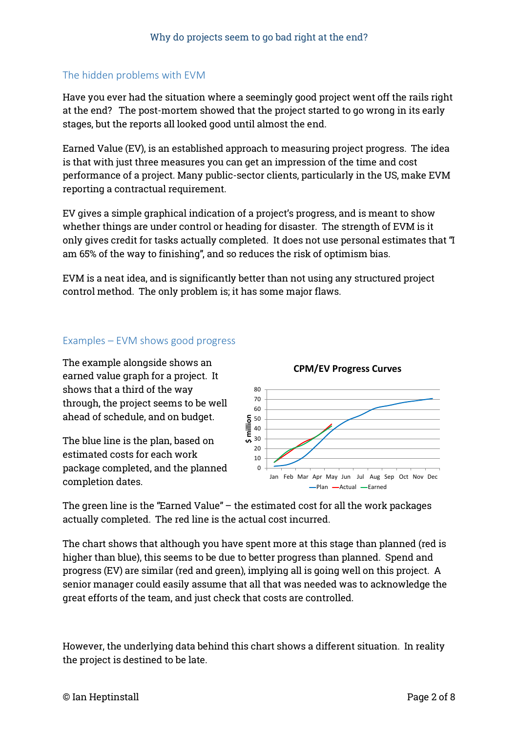## The hidden problems with EVM

Have you ever had the situation where a seemingly good project went off the rails right at the end? The post-mortem showed that the project started to go wrong in its early stages, but the reports all looked good until almost the end.

Earned Value (EV), is an established approach to measuring project progress. The idea is that with just three measures you can get an impression of the time and cost performance of a project. Many public-sector clients, particularly in the US, make EVM reporting a contractual requirement.

EV gives a simple graphical indication of a project's progress, and is meant to show whether things are under control or heading for disaster. The strength of EVM is it only gives credit for tasks actually completed. It does not use personal estimates that "I am 65% of the way to finishing", and so reduces the risk of optimism bias.

EVM is a neat idea, and is significantly better than not using any structured project control method. The only problem is; it has some major flaws.

#### Examples – EVM shows good progress

The example alongside shows an earned value graph for a project. It shows that a third of the way through, the project seems to be well ahead of schedule, and on budget.

The blue line is the plan, based on estimated costs for each work package completed, and the planned completion dates.



**CPM/EV Progress Curves**

The green line is the "Earned Value" – the estimated cost for all the work packages actually completed. The red line is the actual cost incurred.

The chart shows that although you have spent more at this stage than planned (red is higher than blue), this seems to be due to better progress than planned. Spend and progress (EV) are similar (red and green), implying all is going well on this project. A senior manager could easily assume that all that was needed was to acknowledge the great efforts of the team, and just check that costs are controlled.

However, the underlying data behind this chart shows a different situation. In reality the project is destined to be late.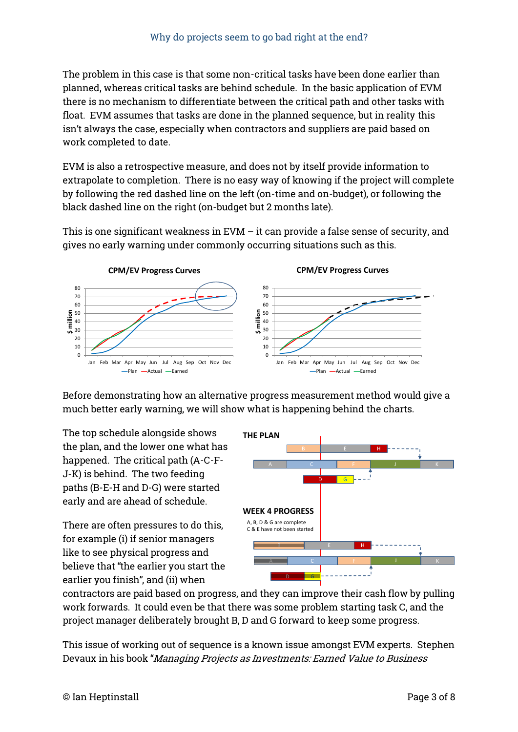The problem in this case is that some non-critical tasks have been done earlier than planned, whereas critical tasks are behind schedule. In the basic application of EVM there is no mechanism to differentiate between the critical path and other tasks with float. EVM assumes that tasks are done in the planned sequence, but in reality this isn't always the case, especially when contractors and suppliers are paid based on work completed to date.

EVM is also a retrospective measure, and does not by itself provide information to extrapolate to completion. There is no easy way of knowing if the project will complete by following the red dashed line on the left (on-time and on-budget), or following the black dashed line on the right (on-budget but 2 months late).

This is one significant weakness in  $EVM - it$  can provide a false sense of security, and gives no early warning under commonly occurring situations such as this.



Before demonstrating how an alternative progress measurement method would give a much better early warning, we will show what is happening behind the charts.

The top schedule alongside shows the plan, and the lower one what has happened. The critical path (A-C-F-J-K) is behind. The two feeding paths (B-E-H and D-G) were started early and are ahead of schedule.

There are often pressures to do this, for example (i) if senior managers like to see physical progress and believe that "the earlier you start the earlier you finish", and (ii) when



contractors are paid based on progress, and they can improve their cash flow by pulling work forwards. It could even be that there was some problem starting task C, and the project manager deliberately brought B, D and G forward to keep some progress.

This issue of working out of sequence is a known issue amongst EVM experts. Stephen Devaux in his book "Managing Projects as Investments: Earned Value to Business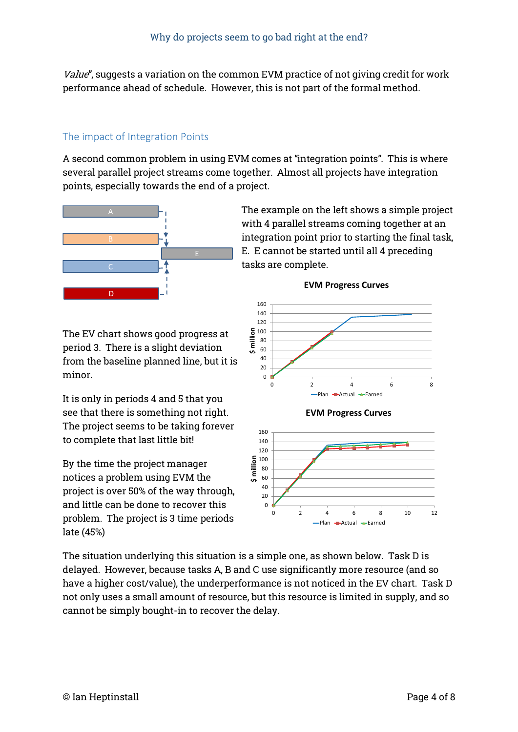Value", suggests a variation on the common EVM practice of not giving credit for work performance ahead of schedule. However, this is not part of the formal method.

# The impact of Integration Points

A second common problem in using EVM comes at "integration points". This is where several parallel project streams come together. Almost all projects have integration points, especially towards the end of a project.



The example on the left shows a simple project with 4 parallel streams coming together at an integration point prior to starting the final task, E. E cannot be started until all 4 preceding tasks are complete.

The EV chart shows good progress at period 3. There is a slight deviation from the baseline planned line, but it is minor.

It is only in periods 4 and 5 that you see that there is something not right. The project seems to be taking forever to complete that last little bit!

By the time the project manager notices a problem using EVM the project is over 50% of the way through, and little can be done to recover this problem. The project is 3 time periods late (45%)



#### **EVM Progress Curves**

The situation underlying this situation is a simple one, as shown below. Task D is delayed. However, because tasks A, B and C use significantly more resource (and so have a higher cost/value), the underperformance is not noticed in the EV chart. Task D not only uses a small amount of resource, but this resource is limited in supply, and so cannot be simply bought-in to recover the delay.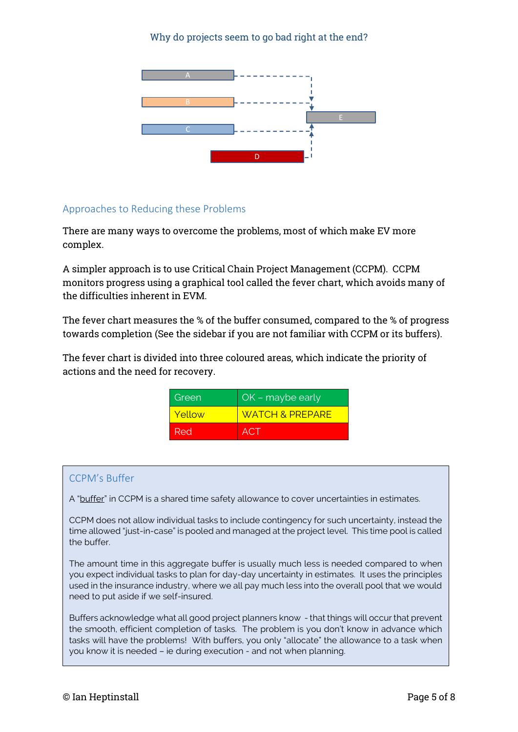#### Why do projects seem to go bad right at the end?



#### Approaches to Reducing these Problems

There are many ways to overcome the problems, most of which make EV more complex.

A simpler approach is to use Critical Chain Project Management (CCPM). CCPM monitors progress using a graphical tool called the fever chart, which avoids many of the difficulties inherent in EVM.

The fever chart measures the % of the buffer consumed, compared to the % of progress towards completion (See the sidebar if you are not familiar with CCPM or its buffers).

The fever chart is divided into three coloured areas, which indicate the priority of actions and the need for recovery.

| Green  | $\sqrt{OK - may}$ be early |
|--------|----------------------------|
| Yellow | WATCH & PRFPARF            |
| Red    | <b>ACT</b>                 |

#### CCPM's Buffer

A "buffer" in CCPM is a shared time safety allowance to cover uncertainties in estimates.

CCPM does not allow individual tasks to include contingency for such uncertainty, instead the time allowed "just-in-case" is pooled and managed at the project level. This time pool is called the buffer.

The amount time in this aggregate buffer is usually much less is needed compared to when you expect individual tasks to plan for day-day uncertainty in estimates. It uses the principles used in the insurance industry, where we all pay much less into the overall pool that we would need to put aside if we self-insured.

Buffers acknowledge what all good project planners know - that things will occur that prevent the smooth, efficient completion of tasks. The problem is you don't know in advance which tasks will have the problems! With buffers, you only "allocate" the allowance to a task when you know it is needed – ie during execution - and not when planning.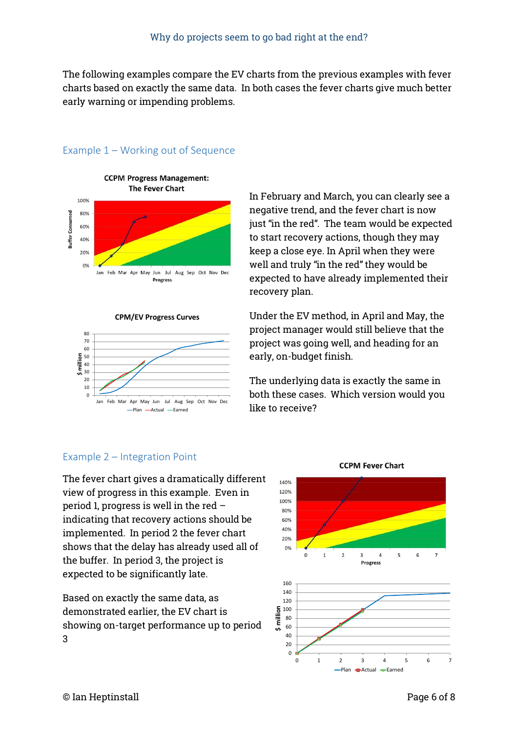The following examples compare the EV charts from the previous examples with fever charts based on exactly the same data. In both cases the fever charts give much better early warning or impending problems.



Example 1 – Working out of Sequence



 $\overline{0}$ 10 Jan Feb Mar Apr May Jun Jul Aug Sep Oct Nov Dec -Plan - Actual - Earned

In February and March, you can clearly see a negative trend, and the fever chart is now just "in the red". The team would be expected to start recovery actions, though they may keep a close eye. In April when they were well and truly "in the red" they would be expected to have already implemented their recovery plan.

Under the EV method, in April and May, the project manager would still believe that the project was going well, and heading for an early, on-budget finish.

The underlying data is exactly the same in both these cases. Which version would you like to receive?

# Example 2 – Integration Point

The fever chart gives a dramatically different view of progress in this example. Even in period 1, progress is well in the red – indicating that recovery actions should be implemented. In period 2 the fever chart shows that the delay has already used all of the buffer. In period 3, the project is expected to be significantly late.

Based on exactly the same data, as demonstrated earlier, the EV chart is showing on-target performance up to period 3

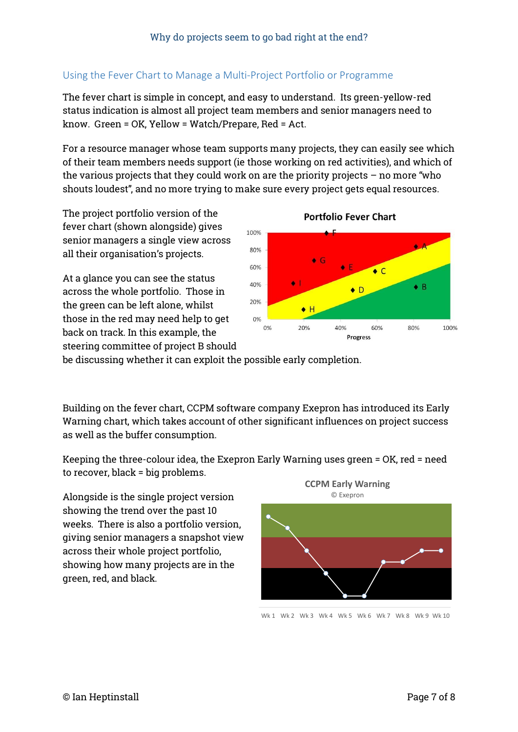# Using the Fever Chart to Manage a Multi-Project Portfolio or Programme

The fever chart is simple in concept, and easy to understand. Its green-yellow-red status indication is almost all project team members and senior managers need to know. Green = OK, Yellow = Watch/Prepare, Red = Act.

For a resource manager whose team supports many projects, they can easily see which of their team members needs support (ie those working on red activities), and which of the various projects that they could work on are the priority projects – no more "who shouts loudest", and no more trying to make sure every project gets equal resources.

The project portfolio version of the fever chart (shown alongside) gives senior managers a single view across all their organisation's projects.

At a glance you can see the status across the whole portfolio. Those in the green can be left alone, whilst those in the red may need help to get back on track. In this example, the steering committee of project B should 100% 80% **C**  $60%$  $\bullet$  C 40%  $\bullet$  B  $\bullet$  D 20%  $\bullet$  H  $0%$  $0%$ 20% 40%  $60%$  $80%$ 100% **Progress** 

**Portfolio Fever Chart** 

be discussing whether it can exploit the possible early completion.

Building on the fever chart, CCPM software company Exepron has introduced its Early Warning chart, which takes account of other significant influences on project success as well as the buffer consumption.

Keeping the three-colour idea, the Exepron Early Warning uses green = OK, red = need to recover, black = big problems.

Alongside is the single project version showing the trend over the past 10 weeks. There is also a portfolio version, giving senior managers a snapshot view across their whole project portfolio, showing how many projects are in the green, red, and black.